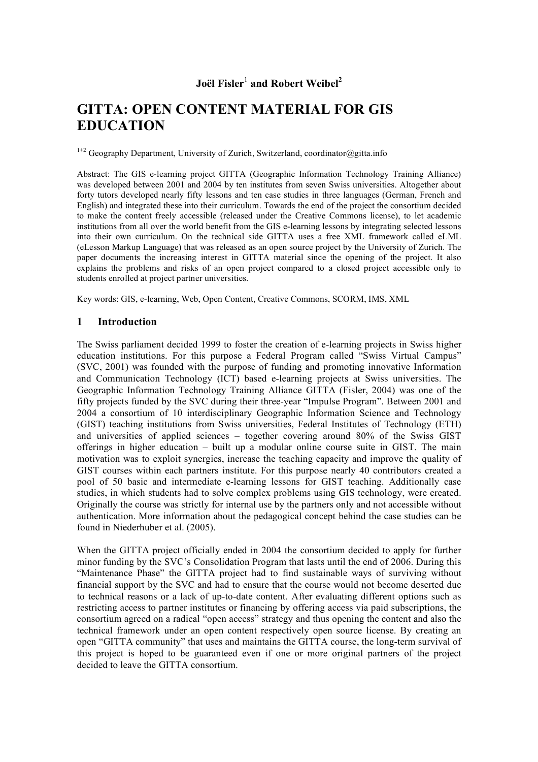# **Joël Fisler** <sup>1</sup> **and Robert Weibel 2**

# **GITTA: OPEN CONTENT MATERIAL FOR GIS EDUCATION**

 $1+2$  Geography Department, University of Zurich, Switzerland, coordinator@gitta.info

Abstract: The GIS e-learning project GITTA (Geographic Information Technology Training Alliance) was developed between 2001 and 2004 by ten institutes from seven Swiss universities. Altogether about forty tutors developed nearly fifty lessons and ten case studies in three languages (German, French and English) and integrated these into their curriculum. Towards the end of the project the consortium decided to make the content freely accessible (released under the Creative Commons license), to let academic institutions from all over the world benefit from the GIS e-learning lessons by integrating selected lessons into their own curriculum. On the technical side GITTA uses a free XML framework called eLML (eLesson Markup Language) that was released as an open source project by the University of Zurich. The paper documents the increasing interest in GITTA material since the opening of the project. It also explains the problems and risks of an open project compared to a closed project accessible only to students enrolled at project partner universities.

Key words: GIS, e-learning, Web, Open Content, Creative Commons, SCORM, IMS, XML

#### **1 Introduction**

The Swiss parliament decided 1999 to foster the creation of e-learning projects in Swiss higher education institutions. For this purpose a Federal Program called "Swiss Virtual Campus" (SVC, 2001) was founded with the purpose of funding and promoting innovative Information and Communication Technology (ICT) based e-learning projects at Swiss universities. The Geographic Information Technology Training Alliance GITTA (Fisler, 2004) was one of the fifty projects funded by the SVC during their three-year "Impulse Program". Between 2001 and 2004 a consortium of 10 interdisciplinary Geographic Information Science and Technology (GIST) teaching institutions from Swiss universities, Federal Institutes of Technology (ETH) and universities of applied sciences – together covering around 80% of the Swiss GIST offerings in higher education – built up a modular online course suite in GIST. The main motivation was to exploit synergies, increase the teaching capacity and improve the quality of GIST courses within each partners institute. For this purpose nearly 40 contributors created a pool of 50 basic and intermediate e-learning lessons for GIST teaching. Additionally case studies, in which students had to solve complex problems using GIS technology, were created. Originally the course was strictly for internal use by the partners only and not accessible without authentication. More information about the pedagogical concept behind the case studies can be found in Niederhuber et al. (2005).

When the GITTA project officially ended in 2004 the consortium decided to apply for further minor funding by the SVC's Consolidation Program that lasts until the end of 2006. During this "Maintenance Phase" the GITTA project had to find sustainable ways of surviving without financial support by the SVC and had to ensure that the course would not become deserted due to technical reasons or a lack of up-to-date content. After evaluating different options such as restricting access to partner institutes or financing by offering access via paid subscriptions, the consortium agreed on a radical "open access" strategy and thus opening the content and also the technical framework under an open content respectively open source license. By creating an open "GITTA community" that uses and maintains the GITTA course, the long-term survival of this project is hoped to be guaranteed even if one or more original partners of the project decided to leave the GITTA consortium.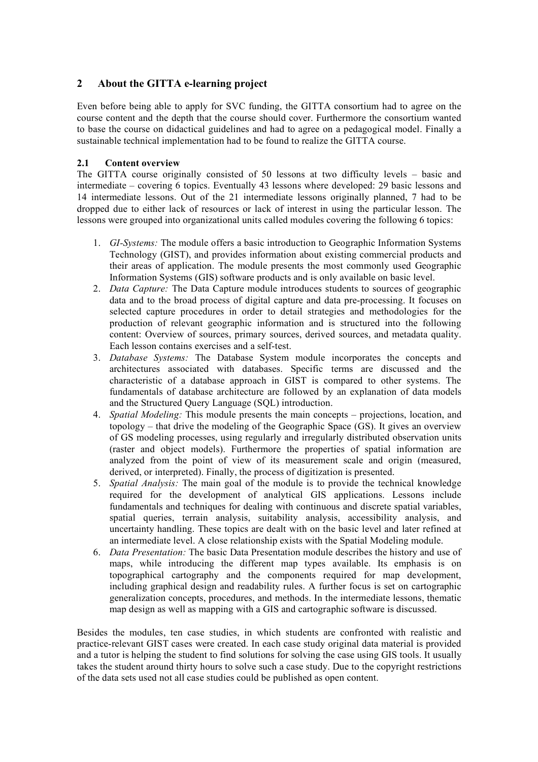# **2 About the GITTA e-learning project**

Even before being able to apply for SVC funding, the GITTA consortium had to agree on the course content and the depth that the course should cover. Furthermore the consortium wanted to base the course on didactical guidelines and had to agree on a pedagogical model. Finally a sustainable technical implementation had to be found to realize the GITTA course.

#### **2.1 Content overview**

The GITTA course originally consisted of 50 lessons at two difficulty levels – basic and intermediate – covering 6 topics. Eventually 43 lessons where developed: 29 basic lessons and 14 intermediate lessons. Out of the 21 intermediate lessons originally planned, 7 had to be dropped due to either lack of resources or lack of interest in using the particular lesson. The lessons were grouped into organizational units called modules covering the following 6 topics:

- 1. *GI-Systems:* The module offers a basic introduction to Geographic Information Systems Technology (GIST), and provides information about existing commercial products and their areas of application. The module presents the most commonly used Geographic Information Systems (GIS) software products and is only available on basic level.
- 2. *Data Capture:* The Data Capture module introduces students to sources of geographic data and to the broad process of digital capture and data pre-processing. It focuses on selected capture procedures in order to detail strategies and methodologies for the production of relevant geographic information and is structured into the following content: Overview of sources, primary sources, derived sources, and metadata quality. Each lesson contains exercises and a self-test.
- 3. *Database Systems:* The Database System module incorporates the concepts and architectures associated with databases. Specific terms are discussed and the characteristic of a database approach in GIST is compared to other systems. The fundamentals of database architecture are followed by an explanation of data models and the Structured Query Language (SQL) introduction.
- 4. *Spatial Modeling:* This module presents the main concepts projections, location, and topology – that drive the modeling of the Geographic Space (GS). It gives an overview of GS modeling processes, using regularly and irregularly distributed observation units (raster and object models). Furthermore the properties of spatial information are analyzed from the point of view of its measurement scale and origin (measured, derived, or interpreted). Finally, the process of digitization is presented.
- 5. *Spatial Analysis:* The main goal of the module is to provide the technical knowledge required for the development of analytical GIS applications. Lessons include fundamentals and techniques for dealing with continuous and discrete spatial variables, spatial queries, terrain analysis, suitability analysis, accessibility analysis, and uncertainty handling. These topics are dealt with on the basic level and later refined at an intermediate level. A close relationship exists with the Spatial Modeling module.
- 6. *Data Presentation:* The basic Data Presentation module describes the history and use of maps, while introducing the different map types available. Its emphasis is on topographical cartography and the components required for map development, including graphical design and readability rules. A further focus is set on cartographic generalization concepts, procedures, and methods. In the intermediate lessons, thematic map design as well as mapping with a GIS and cartographic software is discussed.

Besides the modules, ten case studies, in which students are confronted with realistic and practice-relevant GIST cases were created. In each case study original data material is provided and a tutor is helping the student to find solutions for solving the case using GIS tools. It usually takes the student around thirty hours to solve such a case study. Due to the copyright restrictions of the data sets used not all case studies could be published as open content.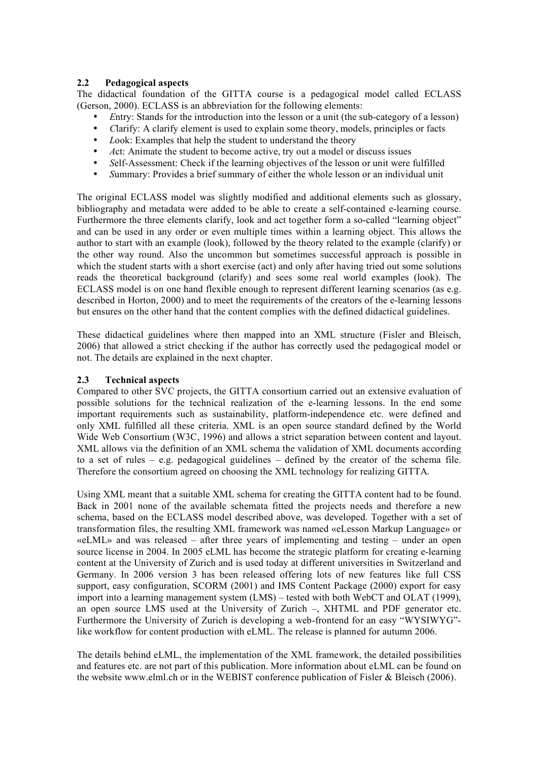#### **2.2 Pedagogical aspects**

The didactical foundation of the GITTA course is a pedagogical model called ECLASS (Gerson, 2000). ECLASS is an abbreviation for the following elements:

- *E*ntry: Stands for the introduction into the lesson or a unit (the sub-category of a lesson)
- *C*larify: A clarify element is used to explain some theory, models, principles or facts
- *Look:* Examples that help the student to understand the theory
- Act: Animate the student to become active, try out a model or discuss issues
- *Self-Assessment:* Check if the learning objectives of the lesson or unit were fulfilled<br>• Summary: Provides a brief summary of either the whole lesson or an individual unit
- *S*ummary: Provides a brief summary of either the whole lesson or an individual unit

The original ECLASS model was slightly modified and additional elements such as glossary, bibliography and metadata were added to be able to create a self-contained e-learning course. Furthermore the three elements clarify, look and act together form a so-called "learning object" and can be used in any order or even multiple times within a learning object. This allows the author to start with an example (look), followed by the theory related to the example (clarify) or the other way round. Also the uncommon but sometimes successful approach is possible in which the student starts with a short exercise (act) and only after having tried out some solutions reads the theoretical background (clarify) and sees some real world examples (look). The ECLASS model is on one hand flexible enough to represent different learning scenarios (as e.g. described in Horton, 2000) and to meet the requirements of the creators of the e-learning lessons but ensures on the other hand that the content complies with the defined didactical guidelines.

These didactical guidelines where then mapped into an XML structure (Fisler and Bleisch, 2006) that allowed a strict checking if the author has correctly used the pedagogical model or not. The details are explained in the next chapter.

#### **2.3 Technical aspects**

Compared to other SVC projects, the GITTA consortium carried out an extensive evaluation of possible solutions for the technical realization of the e-learning lessons. In the end some important requirements such as sustainability, platform-independence etc. were defined and only XML fulfilled all these criteria. XML is an open source standard defined by the World Wide Web Consortium (W3C, 1996) and allows a strict separation between content and layout. XML allows via the definition of an XML schema the validation of XML documents according to a set of rules – e.g. pedagogical guidelines – defined by the creator of the schema file. Therefore the consortium agreed on choosing the XML technology for realizing GITTA.

Using XML meant that a suitable XML schema for creating the GITTA content had to be found. Back in 2001 none of the available schemata fitted the projects needs and therefore a new schema, based on the ECLASS model described above, was developed. Together with a set of transformation files, the resulting XML framework was named «eLesson Markup Language» or «eLML» and was released – after three years of implementing and testing – under an open source license in 2004. In 2005 eLML has become the strategic platform for creating e-learning content at the University of Zurich and is used today at different universities in Switzerland and Germany. In 2006 version 3 has been released offering lots of new features like full CSS support, easy configuration, SCORM (2001) and IMS Content Package (2000) export for easy import into a learning management system (LMS) – tested with both WebCT and OLAT (1999), an open source LMS used at the University of Zurich –, XHTML and PDF generator etc. Furthermore the University of Zurich is developing a web-frontend for an easy "WYSIWYG" like workflow for content production with eLML. The release is planned for autumn 2006.

The details behind eLML, the implementation of the XML framework, the detailed possibilities and features etc. are not part of this publication. More information about eLML can be found on the website www.elml.ch or in the WEBIST conference publication of Fisler & Bleisch (2006).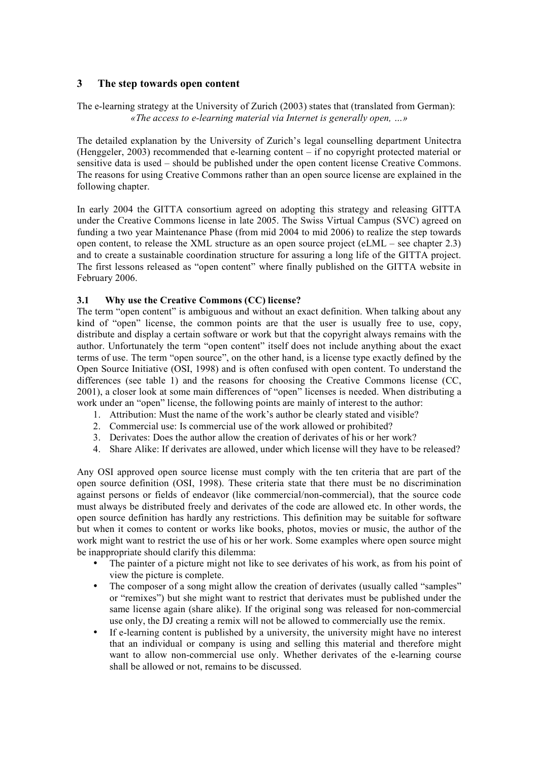### **3 The step towards open content**

The e-learning strategy at the University of Zurich (2003) states that (translated from German): *«The access to e-learning material via Internet is generally open, …»*

The detailed explanation by the University of Zurich's legal counselling department Unitectra (Henggeler, 2003) recommended that e-learning content – if no copyright protected material or sensitive data is used – should be published under the open content license Creative Commons. The reasons for using Creative Commons rather than an open source license are explained in the following chapter.

In early 2004 the GITTA consortium agreed on adopting this strategy and releasing GITTA under the Creative Commons license in late 2005. The Swiss Virtual Campus (SVC) agreed on funding a two year Maintenance Phase (from mid 2004 to mid 2006) to realize the step towards open content, to release the XML structure as an open source project (eLML – see chapter  $2.3$ ) and to create a sustainable coordination structure for assuring a long life of the GITTA project. The first lessons released as "open content" where finally published on the GITTA website in February 2006.

#### **3.1 Why use the Creative Commons (CC) license?**

The term "open content" is ambiguous and without an exact definition. When talking about any kind of "open" license, the common points are that the user is usually free to use, copy, distribute and display a certain software or work but that the copyright always remains with the author. Unfortunately the term "open content" itself does not include anything about the exact terms of use. The term "open source", on the other hand, is a license type exactly defined by the Open Source Initiative (OSI, 1998) and is often confused with open content. To understand the differences (see table 1) and the reasons for choosing the Creative Commons license (CC, 2001), a closer look at some main differences of "open" licenses is needed. When distributing a work under an "open" license, the following points are mainly of interest to the author:

- 1. Attribution: Must the name of the work's author be clearly stated and visible?
- 2. Commercial use: Is commercial use of the work allowed or prohibited?
- 3. Derivates: Does the author allow the creation of derivates of his or her work?
- 4. Share Alike: If derivates are allowed, under which license will they have to be released?

Any OSI approved open source license must comply with the ten criteria that are part of the open source definition (OSI, 1998). These criteria state that there must be no discrimination against persons or fields of endeavor (like commercial/non-commercial), that the source code must always be distributed freely and derivates of the code are allowed etc. In other words, the open source definition has hardly any restrictions. This definition may be suitable for software but when it comes to content or works like books, photos, movies or music, the author of the work might want to restrict the use of his or her work. Some examples where open source might be inappropriate should clarify this dilemma:

- The painter of a picture might not like to see derivates of his work, as from his point of view the picture is complete.
- The composer of a song might allow the creation of derivates (usually called "samples" or "remixes") but she might want to restrict that derivates must be published under the same license again (share alike). If the original song was released for non-commercial use only, the DJ creating a remix will not be allowed to commercially use the remix.
- If e-learning content is published by a university, the university might have no interest that an individual or company is using and selling this material and therefore might want to allow non-commercial use only. Whether derivates of the e-learning course shall be allowed or not, remains to be discussed.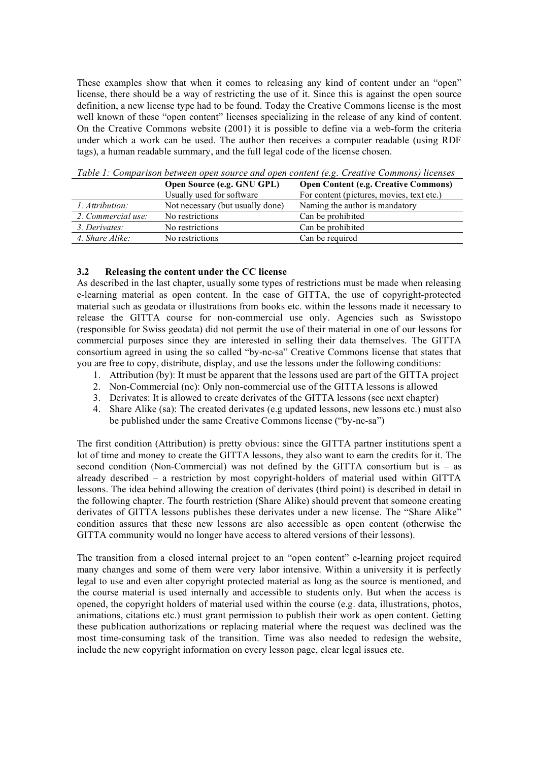These examples show that when it comes to releasing any kind of content under an "open" license, there should be a way of restricting the use of it. Since this is against the open source definition, a new license type had to be found. Today the Creative Commons license is the most well known of these "open content" licenses specializing in the release of any kind of content. On the Creative Commons website (2001) it is possible to define via a web-form the criteria under which a work can be used. The author then receives a computer readable (using RDF tags), a human readable summary, and the full legal code of the license chosen.

|                    | Open Source (e.g. GNU GPL)       | <b>Open Content (e.g. Creative Commons)</b> |
|--------------------|----------------------------------|---------------------------------------------|
|                    | Usually used for software        | For content (pictures, movies, text etc.)   |
| 1. Attribution:    | Not necessary (but usually done) | Naming the author is mandatory              |
| 2. Commercial use: | No restrictions                  | Can be prohibited                           |
| 3. Derivates:      | No restrictions                  | Can be prohibited                           |
| 4. Share Alike:    | No restrictions                  | Can be required                             |

*Table 1: Comparison between open source and open content (e.g. Creative Commons) licenses*

#### **3.2 Releasing the content under the CC license**

As described in the last chapter, usually some types of restrictions must be made when releasing e-learning material as open content. In the case of GITTA, the use of copyright-protected material such as geodata or illustrations from books etc. within the lessons made it necessary to release the GITTA course for non-commercial use only. Agencies such as Swisstopo (responsible for Swiss geodata) did not permit the use of their material in one of our lessons for commercial purposes since they are interested in selling their data themselves. The GITTA consortium agreed in using the so called "by-nc-sa" Creative Commons license that states that you are free to copy, distribute, display, and use the lessons under the following conditions:

- 1. Attribution (by): It must be apparent that the lessons used are part of the GITTA project
- 2. Non-Commercial (nc): Only non-commercial use of the GITTA lessons is allowed
- 3. Derivates: It is allowed to create derivates of the GITTA lessons (see next chapter)
- 4. Share Alike (sa): The created derivates (e.g updated lessons, new lessons etc.) must also be published under the same Creative Commons license ("by-nc-sa")

The first condition (Attribution) is pretty obvious: since the GITTA partner institutions spent a lot of time and money to create the GITTA lessons, they also want to earn the credits for it. The second condition (Non-Commercial) was not defined by the GITTA consortium but is – as already described – a restriction by most copyright-holders of material used within GITTA lessons. The idea behind allowing the creation of derivates (third point) is described in detail in the following chapter. The fourth restriction (Share Alike) should prevent that someone creating derivates of GITTA lessons publishes these derivates under a new license. The "Share Alike" condition assures that these new lessons are also accessible as open content (otherwise the GITTA community would no longer have access to altered versions of their lessons).

The transition from a closed internal project to an "open content" e-learning project required many changes and some of them were very labor intensive. Within a university it is perfectly legal to use and even alter copyright protected material as long as the source is mentioned, and the course material is used internally and accessible to students only. But when the access is opened, the copyright holders of material used within the course (e.g. data, illustrations, photos, animations, citations etc.) must grant permission to publish their work as open content. Getting these publication authorizations or replacing material where the request was declined was the most time-consuming task of the transition. Time was also needed to redesign the website, include the new copyright information on every lesson page, clear legal issues etc.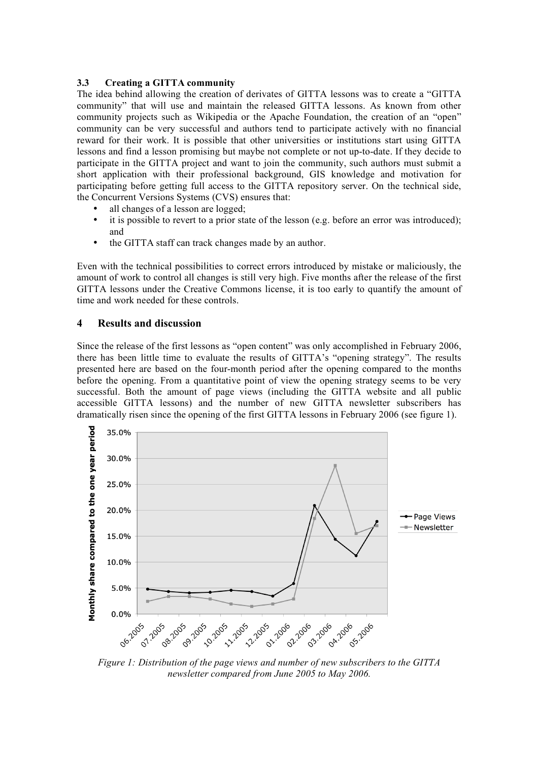#### **3.3 Creating a GITTA community**

The idea behind allowing the creation of derivates of GITTA lessons was to create a "GITTA community" that will use and maintain the released GITTA lessons. As known from other community projects such as Wikipedia or the Apache Foundation, the creation of an "open" community can be very successful and authors tend to participate actively with no financial reward for their work. It is possible that other universities or institutions start using GITTA lessons and find a lesson promising but maybe not complete or not up-to-date. If they decide to participate in the GITTA project and want to join the community, such authors must submit a short application with their professional background, GIS knowledge and motivation for participating before getting full access to the GITTA repository server. On the technical side, the Concurrent Versions Systems (CVS) ensures that:

- all changes of a lesson are logged;
- it is possible to revert to a prior state of the lesson (e.g. before an error was introduced); and
- the GITTA staff can track changes made by an author.

Even with the technical possibilities to correct errors introduced by mistake or maliciously, the amount of work to control all changes is still very high. Five months after the release of the first GITTA lessons under the Creative Commons license, it is too early to quantify the amount of time and work needed for these controls.

#### **4 Results and discussion**

Since the release of the first lessons as "open content" was only accomplished in February 2006, there has been little time to evaluate the results of GITTA's "opening strategy". The results presented here are based on the four-month period after the opening compared to the months before the opening. From a quantitative point of view the opening strategy seems to be very successful. Both the amount of page views (including the GITTA website and all public accessible GITTA lessons) and the number of new GITTA newsletter subscribers has dramatically risen since the opening of the first GITTA lessons in February 2006 (see figure 1).



*Figure 1: Distribution of the page views and number of new subscribers to the GITTA newsletter compared from June 2005 to May 2006.*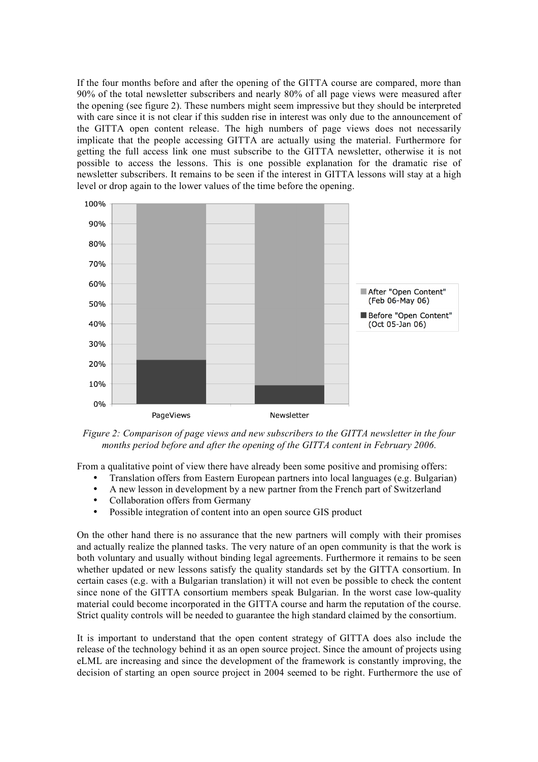If the four months before and after the opening of the GITTA course are compared, more than 90% of the total newsletter subscribers and nearly 80% of all page views were measured after the opening (see figure 2). These numbers might seem impressive but they should be interpreted with care since it is not clear if this sudden rise in interest was only due to the announcement of the GITTA open content release. The high numbers of page views does not necessarily implicate that the people accessing GITTA are actually using the material. Furthermore for getting the full access link one must subscribe to the GITTA newsletter, otherwise it is not possible to access the lessons. This is one possible explanation for the dramatic rise of newsletter subscribers. It remains to be seen if the interest in GITTA lessons will stay at a high level or drop again to the lower values of the time before the opening.



*Figure 2: Comparison of page views and new subscribers to the GITTA newsletter in the four months period before and after the opening of the GITTA content in February 2006.*

From a qualitative point of view there have already been some positive and promising offers:

- Translation offers from Eastern European partners into local languages (e.g. Bulgarian)<br>• A new lesson in development by a new partner from the French part of Switzerland
- A new lesson in development by a new partner from the French part of Switzerland
- Collaboration offers from Germany
- Possible integration of content into an open source GIS product

On the other hand there is no assurance that the new partners will comply with their promises and actually realize the planned tasks. The very nature of an open community is that the work is both voluntary and usually without binding legal agreements. Furthermore it remains to be seen whether updated or new lessons satisfy the quality standards set by the GITTA consortium. In certain cases (e.g. with a Bulgarian translation) it will not even be possible to check the content since none of the GITTA consortium members speak Bulgarian. In the worst case low-quality material could become incorporated in the GITTA course and harm the reputation of the course. Strict quality controls will be needed to guarantee the high standard claimed by the consortium.

It is important to understand that the open content strategy of GITTA does also include the release of the technology behind it as an open source project. Since the amount of projects using eLML are increasing and since the development of the framework is constantly improving, the decision of starting an open source project in 2004 seemed to be right. Furthermore the use of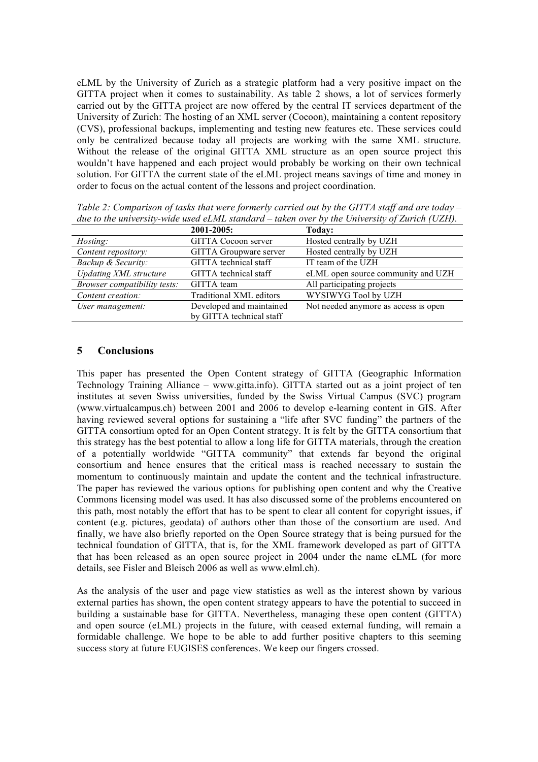eLML by the University of Zurich as a strategic platform had a very positive impact on the GITTA project when it comes to sustainability. As table 2 shows, a lot of services formerly carried out by the GITTA project are now offered by the central IT services department of the University of Zurich: The hosting of an XML server (Cocoon), maintaining a content repository (CVS), professional backups, implementing and testing new features etc. These services could only be centralized because today all projects are working with the same XML structure. Without the release of the original GITTA XML structure as an open source project this wouldn't have happened and each project would probably be working on their own technical solution. For GITTA the current state of the eLML project means savings of time and money in order to focus on the actual content of the lessons and project coordination.

| and to the antiversity while ascurements standard ration over by the chiversity of Earth (CETT). |                            |                                      |  |
|--------------------------------------------------------------------------------------------------|----------------------------|--------------------------------------|--|
|                                                                                                  | 2001-2005:                 | Today:                               |  |
| Hosting:                                                                                         | <b>GITTA Cocoon server</b> | Hosted centrally by UZH              |  |
| Content repository:                                                                              | GITTA Groupware server     | Hosted centrally by UZH              |  |
| Backup & Security:                                                                               | GITTA technical staff      | IT team of the UZH                   |  |
| <b>Updating XML</b> structure                                                                    | GITTA technical staff      | eLML open source community and UZH   |  |
| Browser compatibility tests:                                                                     | GITTA team                 | All participating projects           |  |
| Content creation:                                                                                | Traditional XML editors    | WYSIWYG Tool by UZH                  |  |
| User management:                                                                                 | Developed and maintained   | Not needed anymore as access is open |  |
|                                                                                                  | by GITTA technical staff   |                                      |  |

*Table 2: Comparison of tasks that were formerly carried out by the GITTA staff and are today – due to the university-wide used eLML standard – taken over by the University of Zurich (UZH).*

# **5 Conclusions**

This paper has presented the Open Content strategy of GITTA (Geographic Information Technology Training Alliance – www.gitta.info). GITTA started out as a joint project of ten institutes at seven Swiss universities, funded by the Swiss Virtual Campus (SVC) program (www.virtualcampus.ch) between 2001 and 2006 to develop e-learning content in GIS. After having reviewed several options for sustaining a "life after SVC funding" the partners of the GITTA consortium opted for an Open Content strategy. It is felt by the GITTA consortium that this strategy has the best potential to allow a long life for GITTA materials, through the creation of a potentially worldwide "GITTA community" that extends far beyond the original consortium and hence ensures that the critical mass is reached necessary to sustain the momentum to continuously maintain and update the content and the technical infrastructure. The paper has reviewed the various options for publishing open content and why the Creative Commons licensing model was used. It has also discussed some of the problems encountered on this path, most notably the effort that has to be spent to clear all content for copyright issues, if content (e.g. pictures, geodata) of authors other than those of the consortium are used. And finally, we have also briefly reported on the Open Source strategy that is being pursued for the technical foundation of GITTA, that is, for the XML framework developed as part of GITTA that has been released as an open source project in 2004 under the name eLML (for more details, see Fisler and Bleisch 2006 as well as www.elml.ch).

As the analysis of the user and page view statistics as well as the interest shown by various external parties has shown, the open content strategy appears to have the potential to succeed in building a sustainable base for GITTA. Nevertheless, managing these open content (GITTA) and open source (eLML) projects in the future, with ceased external funding, will remain a formidable challenge. We hope to be able to add further positive chapters to this seeming success story at future EUGISES conferences. We keep our fingers crossed.